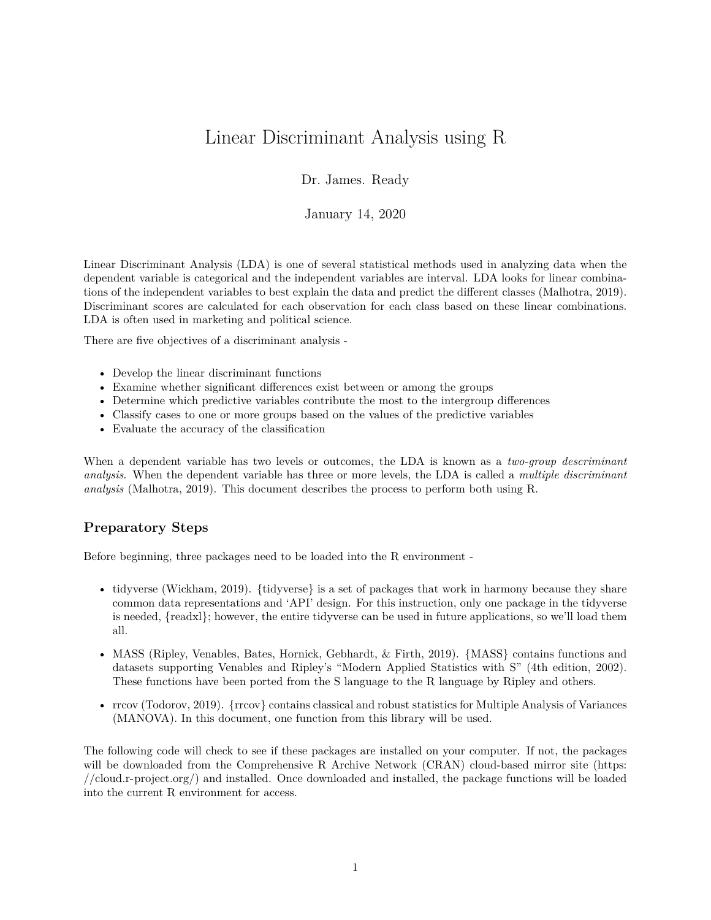## Linear Discriminant Analysis using R

Dr. James. Ready

January 14, 2020

Linear Discriminant Analysis (LDA) is one of several statistical methods used in analyzing data when the dependent variable is categorical and the independent variables are interval. LDA looks for linear combinations of the independent variables to best explain the data and predict the different classes (Malhotra, 2019). Discriminant scores are calculated for each observation for each class based on these linear combinations. LDA is often used in marketing and political science.

There are five objectives of a discriminant analysis -

- Develop the linear discriminant functions
- Examine whether significant differences exist between or among the groups
- Determine which predictive variables contribute the most to the intergroup differences
- Classify cases to one or more groups based on the values of the predictive variables
- Evaluate the accuracy of the classification

When a dependent variable has two levels or outcomes, the LDA is known as a *two-group descriminant analysis*. When the dependent variable has three or more levels, the LDA is called a *multiple discriminant analysis* (Malhotra, 2019). This document describes the process to perform both using R.

## **Preparatory Steps**

Before beginning, three packages need to be loaded into the R environment -

- tidyverse (Wickham, 2019). {tidyverse} is a set of packages that work in harmony because they share common data representations and 'API' design. For this instruction, only one package in the tidyverse is needed, {readxl}; however, the entire tidyverse can be used in future applications, so we'll load them all.
- MASS (Ripley, Venables, Bates, Hornick, Gebhardt, & Firth, 2019). {MASS} contains functions and datasets supporting Venables and Ripley's "Modern Applied Statistics with S" (4th edition, 2002). These functions have been ported from the S language to the R language by Ripley and others.
- rrcov (Todorov, 2019). {rrcov} contains classical and robust statistics for Multiple Analysis of Variances (MANOVA). In this document, one function from this library will be used.

The following code will check to see if these packages are installed on your computer. If not, the packages will be downloaded from the Comprehensive R Archive Network (CRAN) cloud-based mirror site [\(https:](https://cloud.r-project.org/) [//cloud.r-project.org/\)](https://cloud.r-project.org/) and installed. Once downloaded and installed, the package functions will be loaded into the current R environment for access.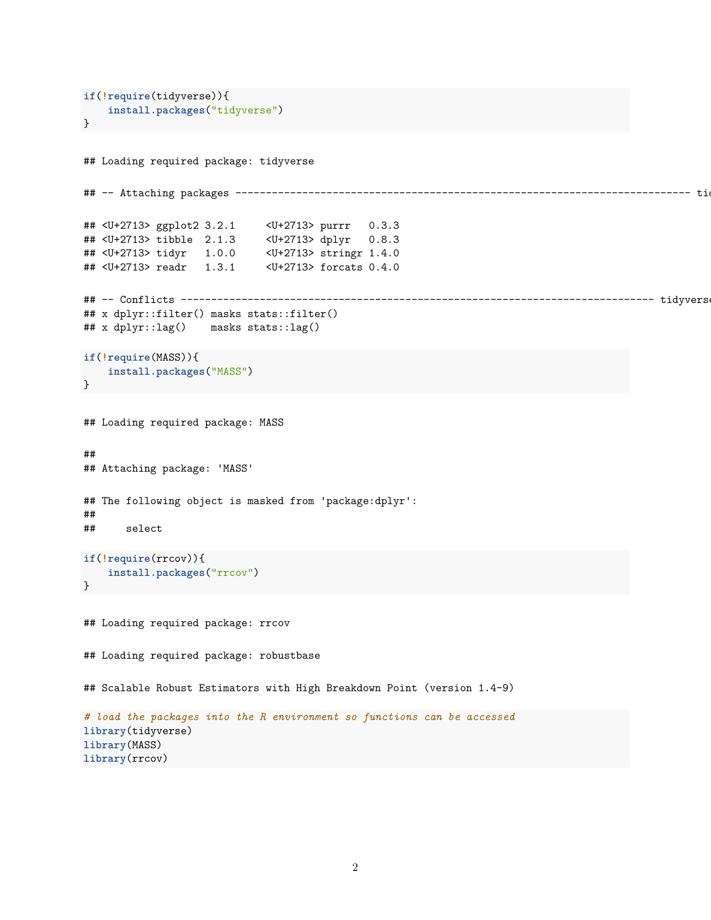```
if(!require(tidyverse)){
   install.packages("tidyverse")
}
## Loading required package: tidyverse
## -- Attaching packages --------------------------------------------------------------------------- tidyverse 1.3.0 --
## <U+2713> ggplot2 3.2.1 <U+2713> purrr 0.3.3
## <U+2713> tibble 2.1.3 <U+2713> dplyr 0.8.3
## <U+2713> tidyr 1.0.0 <U+2713> stringr 1.4.0
## <U+2713> readr 1.3.1 <U+2713> forcats 0.4.0
## -- Conflicts ------------------------------------------------------------------------------ tidyverse_conflicts() --
## x dplyr::filter() masks stats::filter()
## x dplyr::lag() masks stats::lag()
if(!require(MASS)){
    install.packages("MASS")
}
## Loading required package: MASS
##
## Attaching package: 'MASS'
## The following object is masked from 'package:dplyr':
##
## select
if(!require(rrcov)){
   install.packages("rrcov")
}
## Loading required package: rrcov
## Loading required package: robustbase
## Scalable Robust Estimators with High Breakdown Point (version 1.4-9)
# load the packages into the R environment so functions can be accessed
library(tidyverse)
library(MASS)
library(rrcov)
```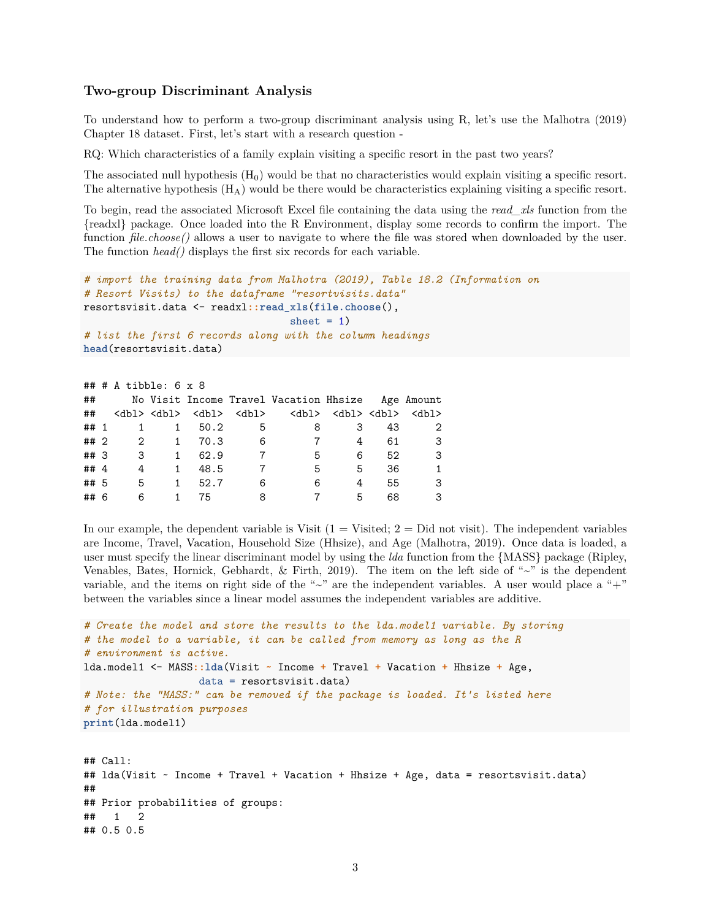## **Two-group Discriminant Analysis**

To understand how to perform a two-group discriminant analysis using R, let's use the Malhotra (2019) Chapter 18 dataset. First, let's start with a research question -

RQ: Which characteristics of a family explain visiting a specific resort in the past two years?

The associated null hypothesis  $(H_0)$  would be that no characteristics would explain visiting a specific resort. The alternative hypothesis  $(H_A)$  would be there would be characteristics explaining visiting a specific resort.

To begin, read the associated Microsoft Excel file containing the data using the *read\_xls* function from the {readxl} package. Once loaded into the R Environment, display some records to confirm the import. The function *file.choose()* allows a user to navigate to where the file was stored when downloaded by the user. The function *head()* displays the first six records for each variable.

```
# import the training data from Malhotra (2019), Table 18.2 (Information on
# Resort Visits) to the dataframe "resortvisits.data"
resortsvisit.data <- readxl::read_xls(file.choose(),
                                  sheet = 1)
# list the first 6 records along with the column headings
head(resortsvisit.data)
```

|        |                         | $\#$ # # A tibble: 6 x 8 |        |     |                                                                                                             |   |    |              |
|--------|-------------------------|--------------------------|--------|-----|-------------------------------------------------------------------------------------------------------------|---|----|--------------|
| ##     |                         |                          |        |     | No Visit Income Travel Vacation Hhsize Age Amount                                                           |   |    |              |
| ##     |                         |                          |        |     | <db1> <db1> <db1> <db1> <db1> <db1> <db1> <db1> <db1></db1></db1></db1></db1></db1></db1></db1></db1></db1> |   |    |              |
| ## 1   |                         | $\mathbf{1}$             | 1 50.2 | 5   | 8                                                                                                           | 3 | 43 | 2            |
| ## 2   | $\overline{\mathbf{c}}$ | 1                        | 70.3   | - 6 | $\overline{7}$                                                                                              | 4 | 61 | -3           |
| ## 3   | - 3                     | $\mathbf{1}$             | 62.9   | 7   | 5                                                                                                           | 6 | 52 | -3           |
| ## $4$ | 4                       | 1                        | 48.5   |     | 5                                                                                                           | 5 | 36 | $\mathbf{1}$ |
| ## 5   | 5                       | $\mathbf{1}$             | 52.7   | 6   | 6                                                                                                           | 4 | 55 | 3            |
| ## 6   | 6                       |                          | 75     | 8   |                                                                                                             | 5 | 68 | 3            |
|        |                         |                          |        |     |                                                                                                             |   |    |              |

In our example, the dependent variable is Visit  $(1 = V\text{isited}; 2 = Did not visit})$ . The independent variables are Income, Travel, Vacation, Household Size (Hhsize), and Age (Malhotra, 2019). Once data is loaded, a user must specify the linear discriminant model by using the *lda* function from the {MASS} package (Ripley, Venables, Bates, Hornick, Gebhardt, & Firth, 2019). The item on the left side of "~" is the dependent variable, and the items on right side of the " $\sim$ " are the independent variables. A user would place a " $+$ " between the variables since a linear model assumes the independent variables are additive.

```
# Create the model and store the results to the lda.model1 variable. By storing
# the model to a variable, it can be called from memory as long as the R
# environment is active.
lda.model1 <- MASS::lda(Visit ~ Income + Travel + Vacation + Hhsize + Age,
                   data = resortsvisit.data)
# Note: the "MASS:" can be removed if the package is loaded. It's listed here
# for illustration purposes
print(lda.model1)
```

```
## Call:
## lda(Visit ~ Income + Travel + Vacation + Hhsize + Age, data = resortsvisit.data)
##
## Prior probabilities of groups:
## 1 2
## 0.5 0.5
```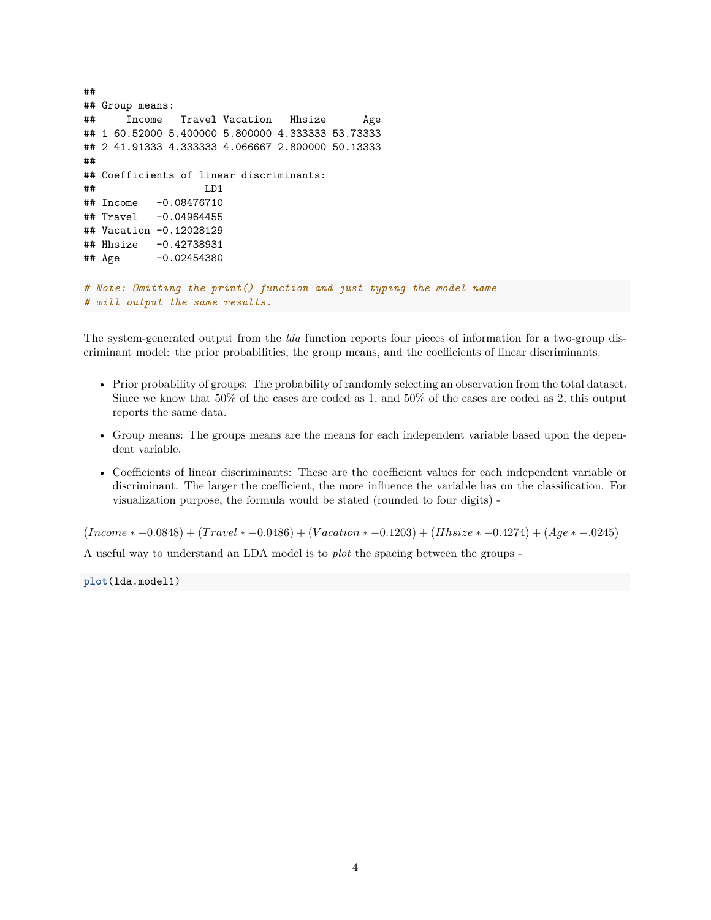```
##
## Group means:
## Income Travel Vacation Hhsize Age
## 1 60.52000 5.400000 5.800000 4.333333 53.73333
## 2 41.91333 4.333333 4.066667 2.800000 50.13333
##
## Coefficients of linear discriminants:
## LD1
## Income -0.08476710
## Travel -0.04964455
## Vacation -0.12028129
## Hhsize -0.42738931
## Age -0.02454380
# Note: Omitting the print() function and just typing the model name
# will output the same results.
```
The system-generated output from the *lda* function reports four pieces of information for a two-group discriminant model: the prior probabilities, the group means, and the coefficients of linear discriminants.

- Prior probability of groups: The probability of randomly selecting an observation from the total dataset. Since we know that 50% of the cases are coded as 1, and 50% of the cases are coded as 2, this output reports the same data.
- Group means: The groups means are the means for each independent variable based upon the dependent variable.
- Coefficients of linear discriminants: These are the coefficient values for each independent variable or discriminant. The larger the coefficient, the more influence the variable has on the classification. For visualization purpose, the formula would be stated (rounded to four digits) -

(*Income* ∗ −0*.*0848) + (*T ravel* ∗ −0*.*0486) + (*V acation* ∗ −0*.*1203) + (*Hhsize* ∗ −0*.*4274) + (*Age* ∗ −*.*0245)

A useful way to understand an LDA model is to *plot* the spacing between the groups -

**plot**(lda.model1)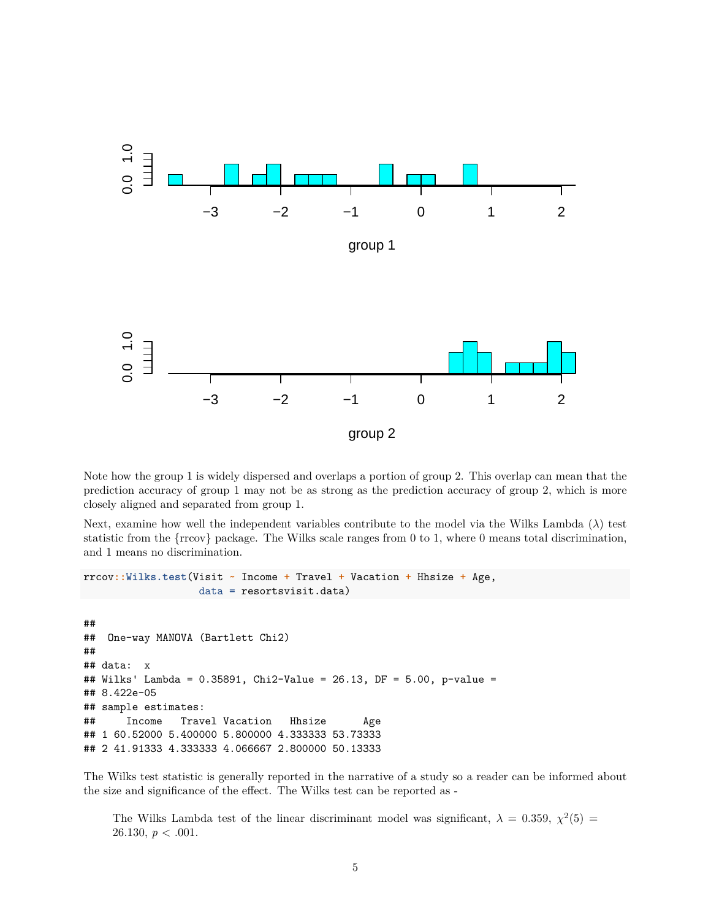

Note how the group 1 is widely dispersed and overlaps a portion of group 2. This overlap can mean that the prediction accuracy of group 1 may not be as strong as the prediction accuracy of group 2, which is more closely aligned and separated from group 1.

Next, examine how well the independent variables contribute to the model via the Wilks Lambda (*λ*) test statistic from the  $\{rrcov\}$  package. The Wilks scale ranges from 0 to 1, where 0 means total discrimination, and 1 means no discrimination.

```
rrcov::Wilks.test(Visit ~ Income + Travel + Vacation + Hhsize + Age,
                  data = resortsvisit.data)
##
## One-way MANOVA (Bartlett Chi2)
##
## data: x
## Wilks' Lambda = 0.35891, Chi2-Value = 26.13, DF = 5.00, p-value =
## 8.422e-05
## sample estimates:
## Income Travel Vacation Hhsize Age
## 1 60.52000 5.400000 5.800000 4.333333 53.73333
## 2 41.91333 4.333333 4.066667 2.800000 50.13333
```
The Wilks test statistic is generally reported in the narrative of a study so a reader can be informed about the size and significance of the effect. The Wilks test can be reported as -

The Wilks Lambda test of the linear discriminant model was significant,  $\lambda = 0.359, \chi^2(5) =$ 26.130, *p* < .001.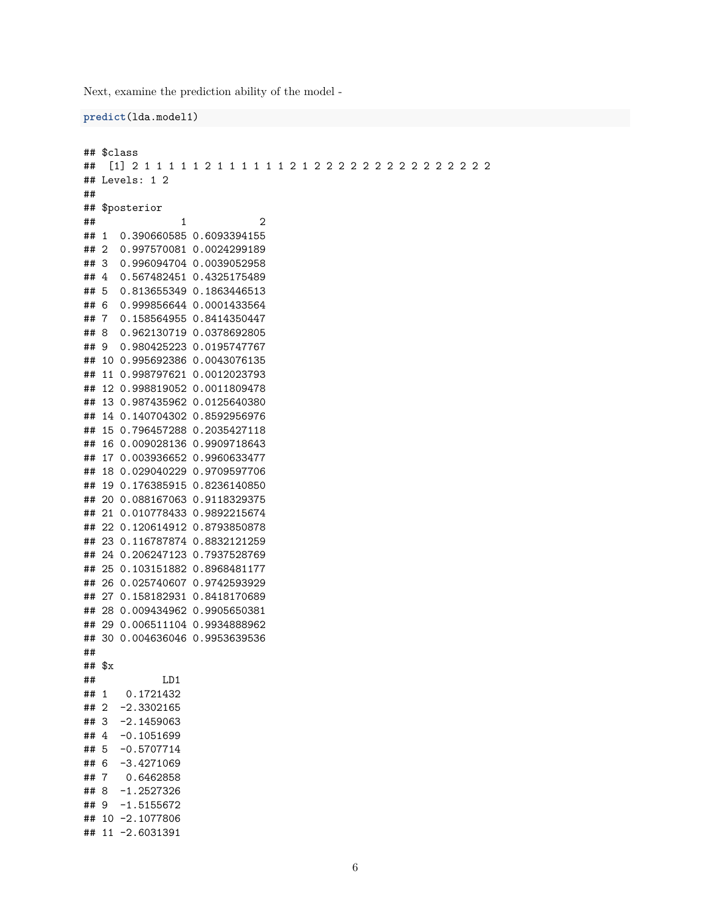Next, examine the prediction ability of the model -

```
predict(lda.model1)
```

```
## $class
## [1] 2 1 1 1 1 1 2 1 1 1 1 1 1 2 1 2 2 2 2 2 2 2 2 2 2 2 2 2 2 2
## Levels: 1 2
##
## $posterior
\# \# \frac{1}{2} \frac{2}{2}## 1 0.390660585 0.6093394155
## 2 0.997570081 0.0024299189
## 3 0.996094704 0.0039052958
## 4 0.567482451 0.4325175489
## 5 0.813655349 0.1863446513
## 6 0.999856644 0.0001433564
## 7 0.158564955 0.8414350447
## 8 0.962130719 0.0378692805
## 9 0.980425223 0.0195747767
## 10 0.995692386 0.0043076135
## 11 0.998797621 0.0012023793
## 12 0.998819052 0.0011809478
## 13 0.987435962 0.0125640380
## 14 0.140704302 0.8592956976
## 15 0.796457288 0.2035427118
## 16 0.009028136 0.9909718643
## 17 0.003936652 0.9960633477
## 18 0.029040229 0.9709597706
## 19 0.176385915 0.8236140850
## 20 0.088167063 0.9118329375
## 21 0.010778433 0.9892215674
## 22 0.120614912 0.8793850878
## 23 0.116787874 0.8832121259
## 24 0.206247123 0.7937528769
## 25 0.103151882 0.8968481177
## 26 0.025740607 0.9742593929
## 27 0.158182931 0.8418170689
## 28 0.009434962 0.9905650381
## 29 0.006511104 0.9934888962
## 30 0.004636046 0.9953639536
##
## $x
## LD1
## 1 0.1721432
## 2 -2.3302165
## 3 -2.1459063
## 4 -0.1051699
## 5 -0.5707714
## 6 -3.4271069
## 7 0.6462858
## 8 -1.2527326
## 9 -1.5155672
## 10 -2.1077806
## 11 -2.6031391
```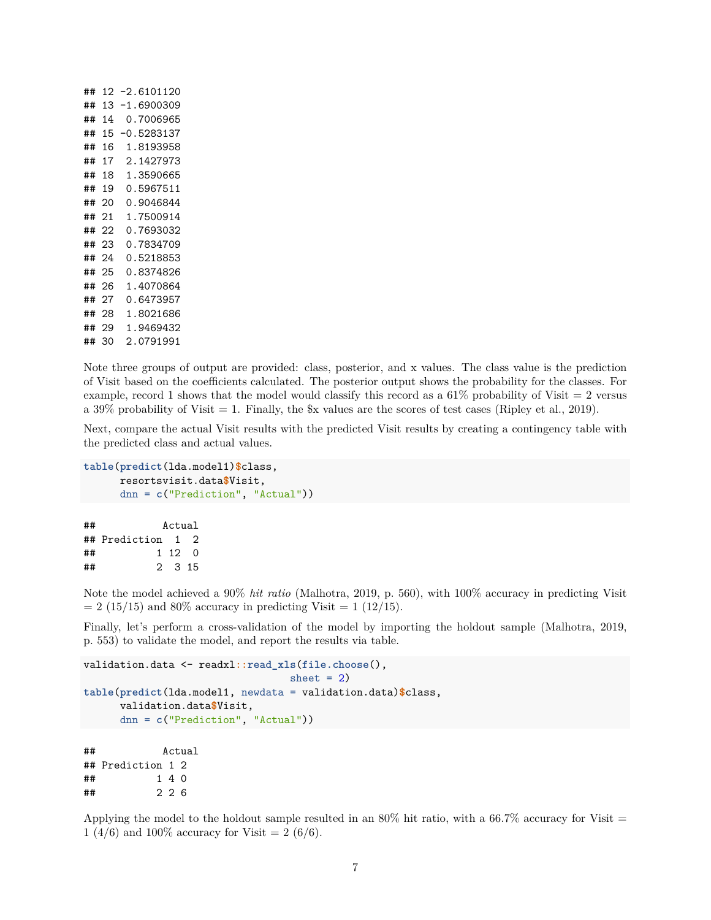| ## | 12 | -2.6101120     |
|----|----|----------------|
| ## | 13 | 1.6900309      |
| ## | 14 | 0.7006965      |
| ## | 15 | -0.5283137     |
| ## | 16 | .8193958<br>1  |
| ## | 17 | 2.1427973      |
| ## | 18 | .3590665<br>1  |
| ## | 19 | .5967511<br>∩  |
| ## | 20 | .9046844<br>∩  |
| ## | 21 | 1.7500914      |
| ## | 22 | 0.7693032      |
| ## | 23 | 0.7834709      |
| ## | 24 | 0.5218853      |
| ## | 25 | 0.8374826      |
| ## | 26 | .4070864<br>1  |
| ## | 27 | .6473957<br>∩  |
| ## | 28 | . 8021686<br>1 |
| ## | 29 | 1<br>9469432   |
| ## | 30 | っ<br>0791991   |

## 2 2 6

Note three groups of output are provided: class, posterior, and x values. The class value is the prediction of Visit based on the coefficients calculated. The posterior output shows the probability for the classes. For example, record 1 shows that the model would classify this record as a  $61\%$  probability of Visit  $= 2$  versus a 39% probability of Visit  $= 1$ . Finally, the  $x$  values are the scores of test cases (Ripley et al., 2019).

Next, compare the actual Visit results with the predicted Visit results by creating a contingency table with the predicted class and actual values.

```
table(predict(lda.model1)$class,
    resortsvisit.data$Visit,
     dnn = c("Prediction", "Actual"))
## Actual
## Prediction 1 2
## 1 12 0
## 2 3 15
```
Note the model achieved a 90% *hit ratio* (Malhotra, 2019, p. 560), with 100% accuracy in predicting Visit  $= 2$  (15/15) and 80% accuracy in predicting Visit  $= 1$  (12/15).

Finally, let's perform a cross-validation of the model by importing the holdout sample (Malhotra, 2019, p. 553) to validate the model, and report the results via table.

```
validation.data <- readxl::read_xls(file.choose(),
                               sheet = 2)table(predict(lda.model1, newdata = validation.data)$class,
     validation.data$Visit,
     dnn = c("Prediction", "Actual"))
## Actual
## Prediction 1 2
## 1 4 0
```
Applying the model to the holdout sample resulted in an  $80\%$  hit ratio, with a 66.7% accuracy for Visit  $=$ 1 (4/6) and 100% accuracy for Visit = 2 (6/6).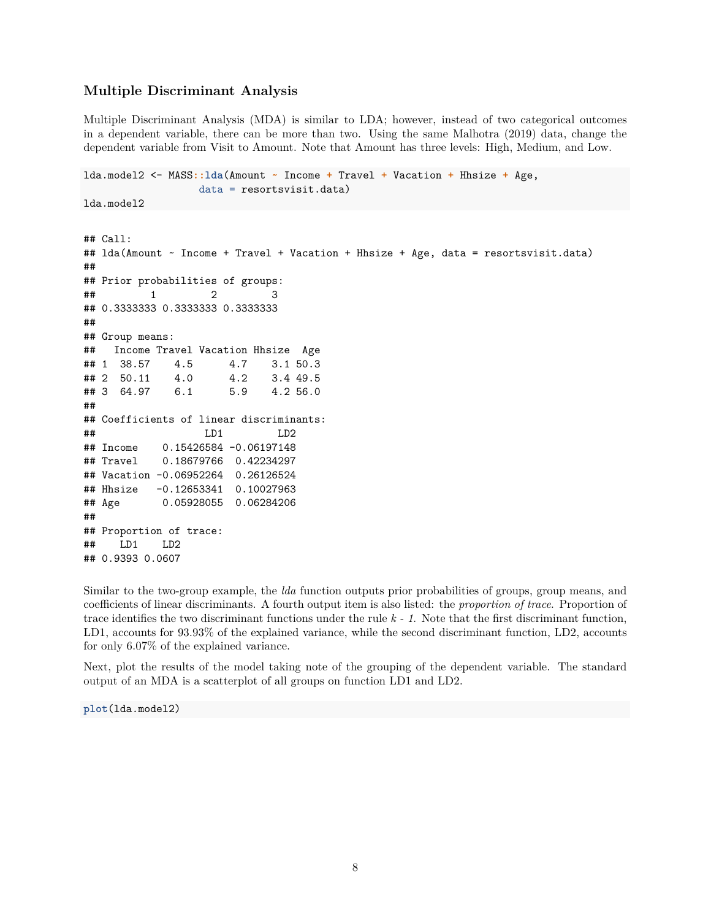## **Multiple Discriminant Analysis**

Multiple Discriminant Analysis (MDA) is similar to LDA; however, instead of two categorical outcomes in a dependent variable, there can be more than two. Using the same Malhotra (2019) data, change the dependent variable from Visit to Amount. Note that Amount has three levels: High, Medium, and Low.

```
lda.model2 <- MASS::lda(Amount ~ Income + Travel + Vacation + Hhsize + Age,
                data = resortsvisit.data)
lda.model2
## Call:
## lda(Amount ~ Income + Travel + Vacation + Hhsize + Age, data = resortsvisit.data)
##
## Prior probabilities of groups:
## 1 2 3
## 0.3333333 0.3333333 0.3333333
##
## Group means:
## Income Travel Vacation Hhsize Age
## 1 38.57 4.5 4.7 3.1 50.3
## 2 50.11 4.0 4.2 3.4 49.5
## 3 64.97 6.1 5.9 4.2 56.0
##
## Coefficients of linear discriminants:
## LD1 LD2
## Income 0.15426584 -0.06197148
## Travel 0.18679766 0.42234297
## Vacation -0.06952264 0.26126524
## Hhsize -0.12653341 0.10027963
## Age 0.05928055 0.06284206
##
## Proportion of trace:
## LD1 LD2
## 0.9393 0.0607
```
Similar to the two-group example, the *lda* function outputs prior probabilities of groups, group means, and coefficients of linear discriminants. A fourth output item is also listed: the *proportion of trace*. Proportion of trace identifies the two discriminant functions under the rule *k - 1*. Note that the first discriminant function, LD1, accounts for 93.93% of the explained variance, while the second discriminant function, LD2, accounts for only 6.07% of the explained variance.

Next, plot the results of the model taking note of the grouping of the dependent variable. The standard output of an MDA is a scatterplot of all groups on function LD1 and LD2.

**plot**(lda.model2)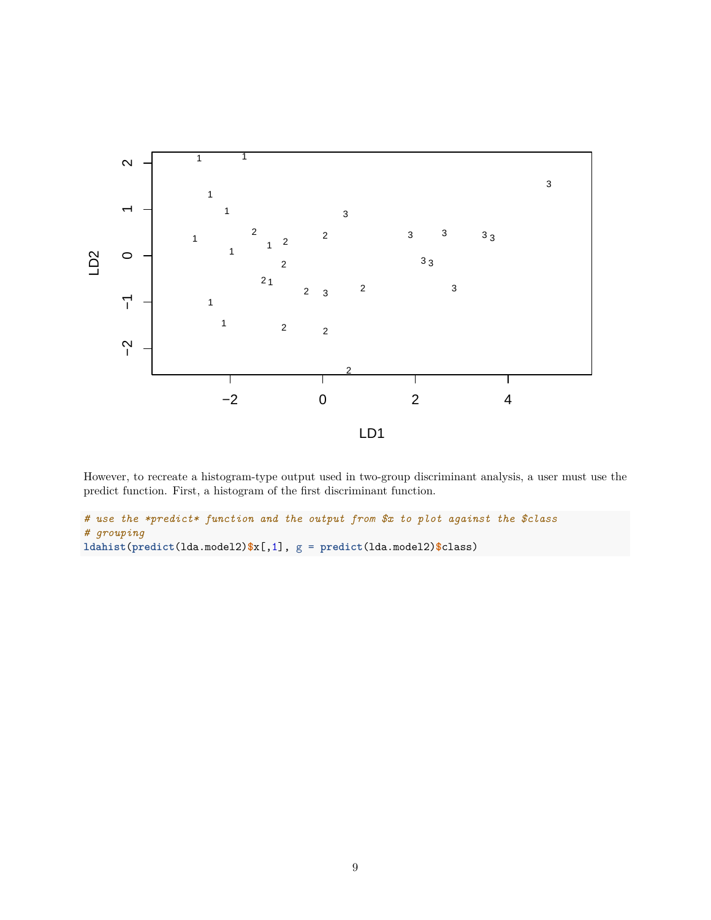

However, to recreate a histogram-type output used in two-group discriminant analysis, a user must use the predict function. First, a histogram of the first discriminant function.

```
# use the *predict* function and the output from $x to plot against the $class
# grouping
ldahist(predict(lda.model2)$x[,1], g = predict(lda.model2)$class)
```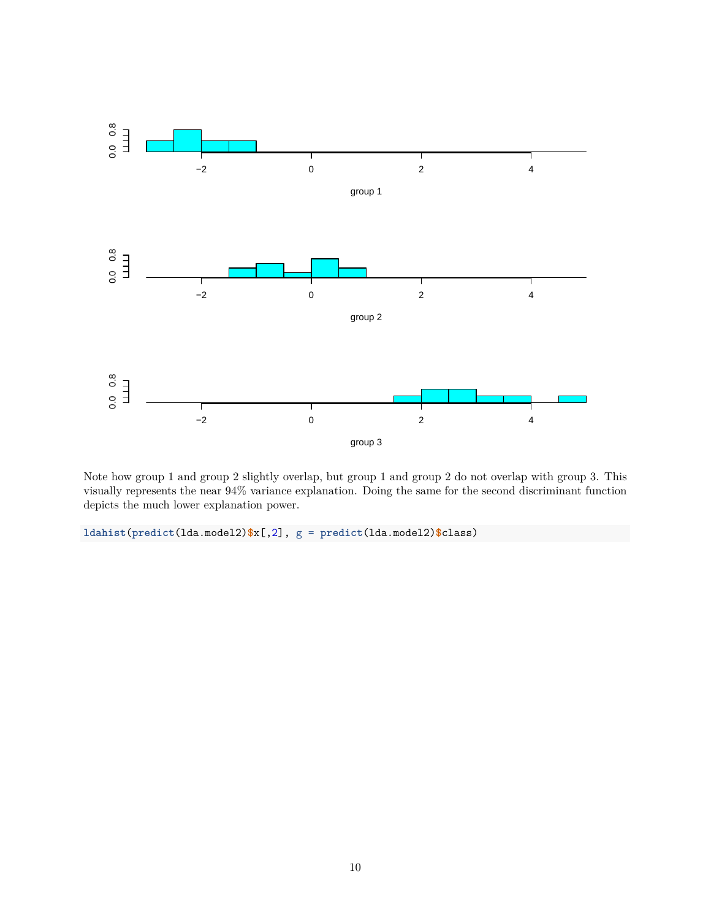

Note how group 1 and group 2 slightly overlap, but group 1 and group 2 do not overlap with group 3. This visually represents the near 94% variance explanation. Doing the same for the second discriminant function depicts the much lower explanation power.

**ldahist**(**predict**(lda.model2)**\$**x[,2], g = **predict**(lda.model2)**\$**class)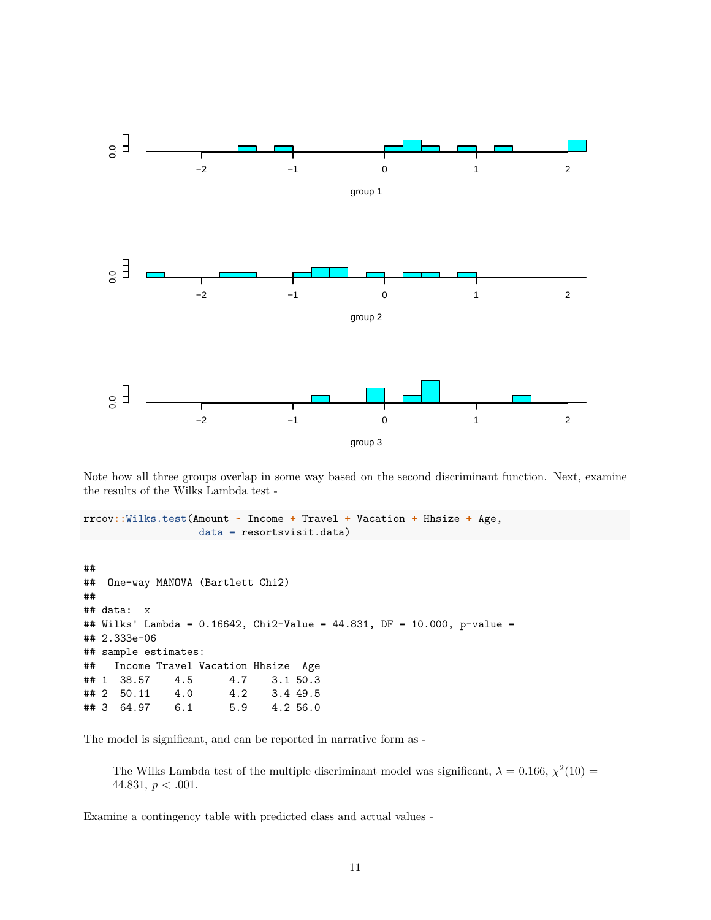

Note how all three groups overlap in some way based on the second discriminant function. Next, examine the results of the Wilks Lambda test -

```
rrcov::Wilks.test(Amount ~ Income + Travel + Vacation + Hhsize + Age,
                   data = resortsvisit.data)
```

```
##
## One-way MANOVA (Bartlett Chi2)
##
## data: x
## Wilks' Lambda = 0.16642, Chi2-Value = 44.831, DF = 10.000, p-value =
## 2.333e-06
## sample estimates:
## Income Travel Vacation Hhsize Age
## 1 38.57 4.5 4.7 3.1 50.3
## 2 50.11 4.0 4.2 3.4 49.5
## 3 64.97 6.1 5.9 4.2 56.0
```
The model is significant, and can be reported in narrative form as -

The Wilks Lambda test of the multiple discriminant model was significant,  $\lambda = 0.166$ ,  $\chi^2(10) =$ 44.831, *p* < .001.

Examine a contingency table with predicted class and actual values -